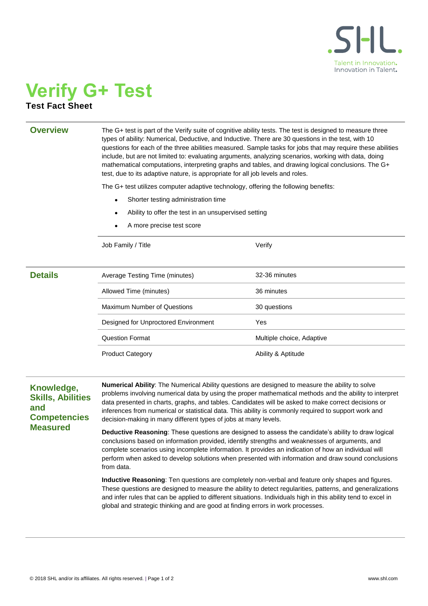

## **Verify G+ Test Test Fact Sheet**

**Overview** The G+ test is part of the Verify suite of cognitive ability tests. The test is designed to measure three types of ability: Numerical, Deductive, and Inductive. There are 30 questions in the test, with 10 questions for each of the three abilities measured. Sample tasks for jobs that may require these abilities include, but are not limited to: evaluating arguments, analyzing scenarios, working with data, doing mathematical computations, interpreting graphs and tables, and drawing logical conclusions. The G+ test, due to its adaptive nature, is appropriate for all job levels and roles.

The G+ test utilizes computer adaptive technology, offering the following benefits:

- Shorter testing administration time
- Ability to offer the test in an unsupervised setting
- A more precise test score

Job Family / Title Verify

| <b>Details</b> | Average Testing Time (minutes)       | 32-36 minutes             |
|----------------|--------------------------------------|---------------------------|
|                | Allowed Time (minutes)               | 36 minutes                |
|                | Maximum Number of Questions          | 30 questions              |
|                | Designed for Unproctored Environment | Yes                       |
|                | <b>Question Format</b>               | Multiple choice, Adaptive |
|                | <b>Product Category</b>              | Ability & Aptitude        |
|                |                                      |                           |

## **Knowledge, Skills, Abilities and Competencies Measured**

**Numerical Ability**: The Numerical Ability questions are designed to measure the ability to solve problems involving numerical data by using the proper mathematical methods and the ability to interpret data presented in charts, graphs, and tables. Candidates will be asked to make correct decisions or inferences from numerical or statistical data. This ability is commonly required to support work and decision-making in many different types of jobs at many levels.

**Deductive Reasoning**: These questions are designed to assess the candidate's ability to draw logical conclusions based on information provided, identify strengths and weaknesses of arguments, and complete scenarios using incomplete information. It provides an indication of how an individual will perform when asked to develop solutions when presented with information and draw sound conclusions from data.

**Inductive Reasoning**: Ten questions are completely non-verbal and feature only shapes and figures. These questions are designed to measure the ability to detect regularities, patterns, and generalizations and infer rules that can be applied to different situations. Individuals high in this ability tend to excel in global and strategic thinking and are good at finding errors in work processes.